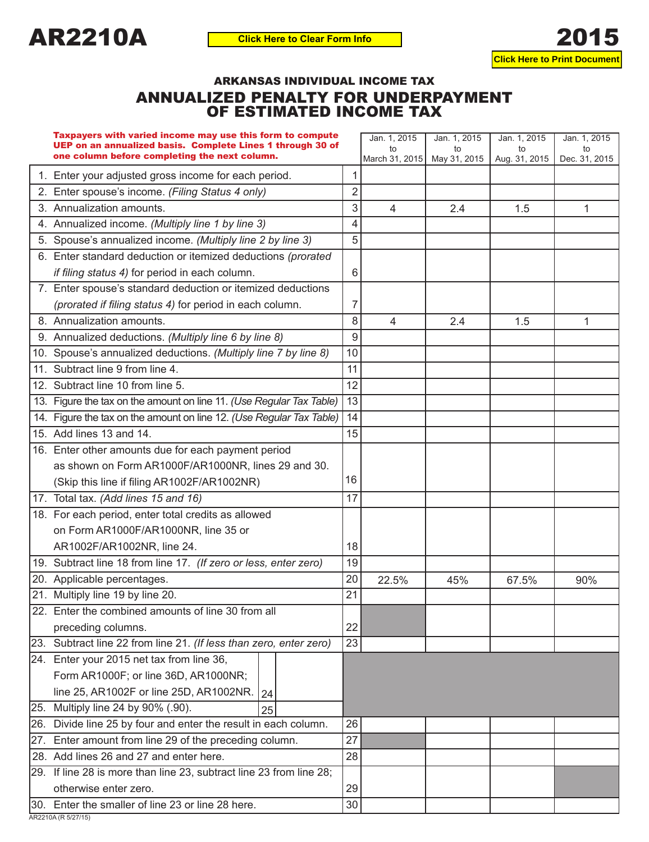

## ARKANSAS INDIVIDUAL INCOME TAX ANNUALIZED PENALTY FOR UNDERPAYMENT OF ESTIMATED INCOME TAX

| Taxpayers with varied income may use this form to compute<br>UEP on an annualized basis. Complete Lines 1 through 30 of<br>one column before completing the next column. |                | Jan. 1, 2015<br>t٥<br>March 31, 2015 | Jan. 1, 2015<br>to<br>May 31, 2015 | Jan. 1, 2015<br>to<br>Aug. 31, 2015 | Jan. 1, 2015<br>to<br>Dec. 31, 2015 |
|--------------------------------------------------------------------------------------------------------------------------------------------------------------------------|----------------|--------------------------------------|------------------------------------|-------------------------------------|-------------------------------------|
| 1. Enter your adjusted gross income for each period.                                                                                                                     |                |                                      |                                    |                                     |                                     |
| 2. Enter spouse's income. (Filing Status 4 only)                                                                                                                         | $\overline{2}$ |                                      |                                    |                                     |                                     |
| 3. Annualization amounts.                                                                                                                                                | 3              | 4                                    | 2.4                                | 1.5                                 | 1                                   |
| 4. Annualized income. (Multiply line 1 by line 3)                                                                                                                        | 4              |                                      |                                    |                                     |                                     |
| 5. Spouse's annualized income. (Multiply line 2 by line 3)                                                                                                               | 5              |                                      |                                    |                                     |                                     |
| 6. Enter standard deduction or itemized deductions (prorated                                                                                                             |                |                                      |                                    |                                     |                                     |
| if filing status 4) for period in each column.                                                                                                                           | 6              |                                      |                                    |                                     |                                     |
| 7. Enter spouse's standard deduction or itemized deductions                                                                                                              |                |                                      |                                    |                                     |                                     |
| (prorated if filing status 4) for period in each column.                                                                                                                 | 7              |                                      |                                    |                                     |                                     |
| 8. Annualization amounts.                                                                                                                                                | 8              | 4                                    | 2.4                                | 1.5                                 | 1                                   |
| 9. Annualized deductions. (Multiply line 6 by line 8)                                                                                                                    | 9              |                                      |                                    |                                     |                                     |
| 10. Spouse's annualized deductions. (Multiply line 7 by line 8)                                                                                                          | 10             |                                      |                                    |                                     |                                     |
| 11. Subtract line 9 from line 4.                                                                                                                                         | 11             |                                      |                                    |                                     |                                     |
| 12. Subtract line 10 from line 5.                                                                                                                                        | 12             |                                      |                                    |                                     |                                     |
| 13. Figure the tax on the amount on line 11. (Use Regular Tax Table)                                                                                                     | 13             |                                      |                                    |                                     |                                     |
| 14. Figure the tax on the amount on line 12. (Use Regular Tax Table)                                                                                                     | 14             |                                      |                                    |                                     |                                     |
| 15. Add lines 13 and 14.                                                                                                                                                 | 15             |                                      |                                    |                                     |                                     |
| 16. Enter other amounts due for each payment period                                                                                                                      |                |                                      |                                    |                                     |                                     |
| as shown on Form AR1000F/AR1000NR, lines 29 and 30.                                                                                                                      |                |                                      |                                    |                                     |                                     |
| (Skip this line if filing AR1002F/AR1002NR)                                                                                                                              | 16             |                                      |                                    |                                     |                                     |
| 17. Total tax. (Add lines 15 and 16)                                                                                                                                     | 17             |                                      |                                    |                                     |                                     |
| 18. For each period, enter total credits as allowed                                                                                                                      |                |                                      |                                    |                                     |                                     |
| on Form AR1000F/AR1000NR, line 35 or                                                                                                                                     |                |                                      |                                    |                                     |                                     |
| AR1002F/AR1002NR, line 24.                                                                                                                                               | 18             |                                      |                                    |                                     |                                     |
| 19. Subtract line 18 from line 17. (If zero or less, enter zero)                                                                                                         | 19             |                                      |                                    |                                     |                                     |
| 20. Applicable percentages.                                                                                                                                              | 20             | 22.5%                                | 45%                                | 67.5%                               | 90%                                 |
| 21. Multiply line 19 by line 20.                                                                                                                                         | 21             |                                      |                                    |                                     |                                     |
| 22. Enter the combined amounts of line 30 from all                                                                                                                       |                |                                      |                                    |                                     |                                     |
| preceding columns.                                                                                                                                                       | 22             |                                      |                                    |                                     |                                     |
| 23. Subtract line 22 from line 21. (If less than zero, enter zero)                                                                                                       | 23             |                                      |                                    |                                     |                                     |
| 24. Enter your 2015 net tax from line 36,                                                                                                                                |                |                                      |                                    |                                     |                                     |
| Form AR1000F; or line 36D, AR1000NR;                                                                                                                                     |                |                                      |                                    |                                     |                                     |
| line 25, AR1002F or line 25D, AR1002NR.<br>24                                                                                                                            |                |                                      |                                    |                                     |                                     |
| 25. Multiply line 24 by 90% (.90).<br>25                                                                                                                                 |                |                                      |                                    |                                     |                                     |
| 26. Divide line 25 by four and enter the result in each column.                                                                                                          | 26             |                                      |                                    |                                     |                                     |
| 27. Enter amount from line 29 of the preceding column.                                                                                                                   | 27             |                                      |                                    |                                     |                                     |
| 28. Add lines 26 and 27 and enter here.                                                                                                                                  | 28             |                                      |                                    |                                     |                                     |
| 29. If line 28 is more than line 23, subtract line 23 from line 28;                                                                                                      |                |                                      |                                    |                                     |                                     |
| otherwise enter zero.                                                                                                                                                    | 29             |                                      |                                    |                                     |                                     |
| 30. Enter the smaller of line 23 or line 28 here.                                                                                                                        | 30             |                                      |                                    |                                     |                                     |